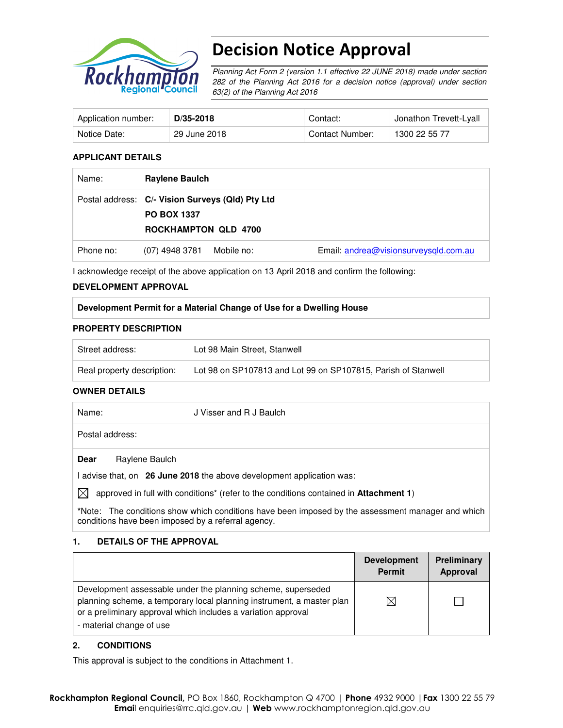

# Decision Notice Approval

Planning Act Form 2 (version 1.1 effective 22 JUNE 2018) made under section 282 of the Planning Act 2016 for a decision notice (approval) under section 63(2) of the Planning Act 2016

| Application number: | $D/35 - 2018$ | Contact:        | Jonathon Trevett-Lyall |
|---------------------|---------------|-----------------|------------------------|
| Notice Date:        | 29 June 2018  | Contact Number: | 1300 22 55 77          |

#### **APPLICANT DETAILS**

| Name:     | <b>Raylene Baulch</b>                                                                          |            |                                       |
|-----------|------------------------------------------------------------------------------------------------|------------|---------------------------------------|
|           | Postal address: C/- Vision Surveys (Qld) Pty Ltd<br><b>PO BOX 1337</b><br>ROCKHAMPTON QLD 4700 |            |                                       |
| Phone no: | (07) 4948 3781                                                                                 | Mobile no: | Email: andrea@visionsurveysqld.com.au |

I acknowledge receipt of the above application on 13 April 2018 and confirm the following:

#### **DEVELOPMENT APPROVAL**

### **Development Permit for a Material Change of Use for a Dwelling House**

### **PROPERTY DESCRIPTION**

| Street address:            | Lot 98 Main Street, Stanwell                                  |
|----------------------------|---------------------------------------------------------------|
| Real property description: | Lot 98 on SP107813 and Lot 99 on SP107815, Parish of Stanwell |

#### **OWNER DETAILS**

| Name:       | J Visser and R J Baulch                                                                                  |
|-------------|----------------------------------------------------------------------------------------------------------|
|             | Postal address:                                                                                          |
| Dear        | Raylene Baulch                                                                                           |
|             | I advise that, on 26 June 2018 the above development application was:                                    |
| $\boxtimes$ | approved in full with conditions <sup>*</sup> (refer to the conditions contained in <b>Attachment 1)</b> |
|             | *Note: The conditions show which conditions have been imposed by the assessment manager and which        |

#### **1. DETAILS OF THE APPROVAL**

conditions have been imposed by a referral agency.

|                                                                                                                                                                                                                                    | <b>Development</b><br><b>Permit</b> | Preliminary<br>Approval |
|------------------------------------------------------------------------------------------------------------------------------------------------------------------------------------------------------------------------------------|-------------------------------------|-------------------------|
| Development assessable under the planning scheme, superseded<br>planning scheme, a temporary local planning instrument, a master plan<br>or a preliminary approval which includes a variation approval<br>- material change of use | $\times$                            |                         |

#### **2. CONDITIONS**

This approval is subject to the conditions in Attachment 1.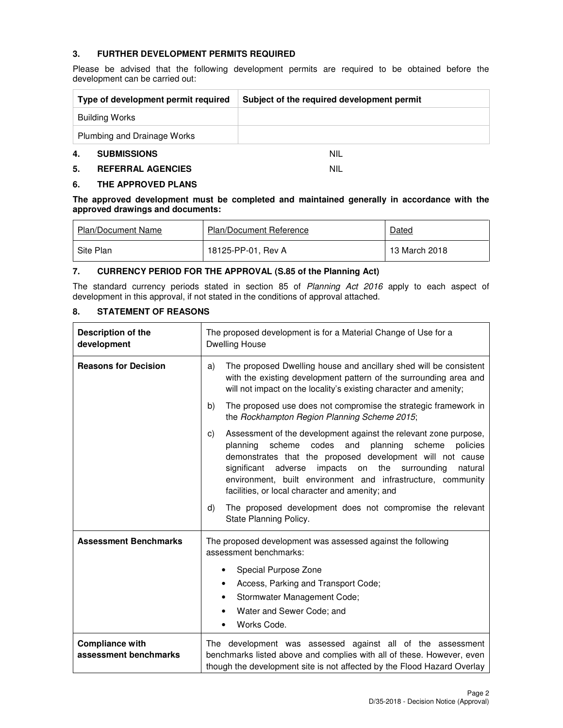## **3. FURTHER DEVELOPMENT PERMITS REQUIRED**

Please be advised that the following development permits are required to be obtained before the development can be carried out:

| Type of development permit required | Subject of the required development permit |  |
|-------------------------------------|--------------------------------------------|--|
| Building Works                      |                                            |  |
| Plumbing and Drainage Works         |                                            |  |
| <b>SUBMISSIONS</b><br>4.            | <b>NIL</b>                                 |  |

## **5. REFERRAL AGENCIES** NIL

#### **6. THE APPROVED PLANS**

**The approved development must be completed and maintained generally in accordance with the approved drawings and documents:** 

| Plan/Document Name | <b>Plan/Document Reference</b> | Dated         |
|--------------------|--------------------------------|---------------|
| Site Plan          | 18125-PP-01, Rev A             | 13 March 2018 |

#### **7. CURRENCY PERIOD FOR THE APPROVAL (S.85 of the Planning Act)**

The standard currency periods stated in section 85 of Planning Act 2016 apply to each aspect of development in this approval, if not stated in the conditions of approval attached.

#### **8. STATEMENT OF REASONS**

| Description of the<br>development               | The proposed development is for a Material Change of Use for a<br><b>Dwelling House</b>                                                                                                                                                                                                                                                                                                                                                                                 |  |  |
|-------------------------------------------------|-------------------------------------------------------------------------------------------------------------------------------------------------------------------------------------------------------------------------------------------------------------------------------------------------------------------------------------------------------------------------------------------------------------------------------------------------------------------------|--|--|
| <b>Reasons for Decision</b>                     | The proposed Dwelling house and ancillary shed will be consistent<br>a)<br>with the existing development pattern of the surrounding area and<br>will not impact on the locality's existing character and amenity;                                                                                                                                                                                                                                                       |  |  |
|                                                 | The proposed use does not compromise the strategic framework in<br>b)<br>the Rockhampton Region Planning Scheme 2015;                                                                                                                                                                                                                                                                                                                                                   |  |  |
|                                                 | Assessment of the development against the relevant zone purpose,<br>C)<br>codes<br>and<br>planning<br>planning<br>scheme<br>scheme<br>policies<br>demonstrates that the proposed development will not cause<br>impacts on<br>the surrounding<br>significant<br>adverse<br>natural<br>environment, built environment and infrastructure, community<br>facilities, or local character and amenity; and<br>The proposed development does not compromise the relevant<br>d) |  |  |
|                                                 | State Planning Policy.                                                                                                                                                                                                                                                                                                                                                                                                                                                  |  |  |
| <b>Assessment Benchmarks</b>                    | The proposed development was assessed against the following<br>assessment benchmarks:                                                                                                                                                                                                                                                                                                                                                                                   |  |  |
|                                                 | Special Purpose Zone<br>٠                                                                                                                                                                                                                                                                                                                                                                                                                                               |  |  |
|                                                 | Access, Parking and Transport Code;<br>٠                                                                                                                                                                                                                                                                                                                                                                                                                                |  |  |
|                                                 | Stormwater Management Code;<br>٠                                                                                                                                                                                                                                                                                                                                                                                                                                        |  |  |
|                                                 | Water and Sewer Code; and<br>٠<br>Works Code.<br>$\bullet$                                                                                                                                                                                                                                                                                                                                                                                                              |  |  |
| <b>Compliance with</b><br>assessment benchmarks | The development was assessed against all of the assessment<br>benchmarks listed above and complies with all of these. However, even<br>though the development site is not affected by the Flood Hazard Overlay                                                                                                                                                                                                                                                          |  |  |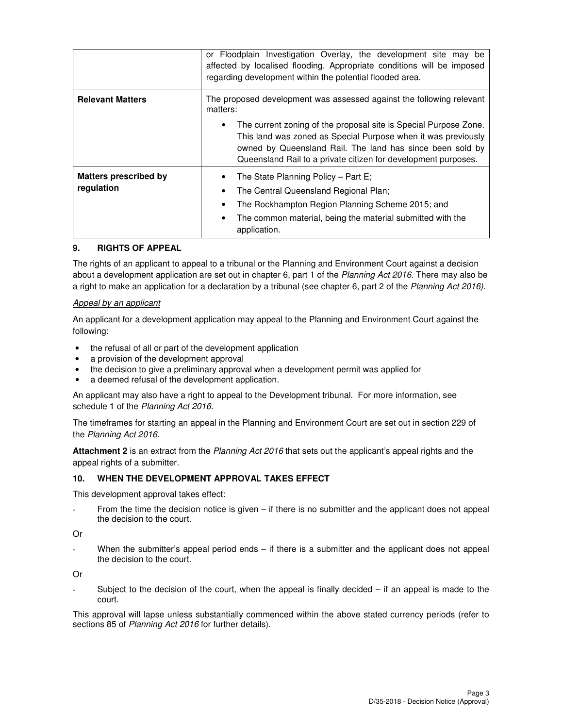|                                            | or Floodplain Investigation Overlay, the development site may be<br>affected by localised flooding. Appropriate conditions will be imposed<br>regarding development within the potential flooded area.                                                                                                                                               |  |  |
|--------------------------------------------|------------------------------------------------------------------------------------------------------------------------------------------------------------------------------------------------------------------------------------------------------------------------------------------------------------------------------------------------------|--|--|
| <b>Relevant Matters</b>                    | The proposed development was assessed against the following relevant<br>matters:<br>The current zoning of the proposal site is Special Purpose Zone.<br>This land was zoned as Special Purpose when it was previously<br>owned by Queensland Rail. The land has since been sold by<br>Queensland Rail to a private citizen for development purposes. |  |  |
|                                            |                                                                                                                                                                                                                                                                                                                                                      |  |  |
| <b>Matters prescribed by</b><br>regulation | The State Planning Policy – Part E;<br>The Central Queensland Regional Plan;<br>The Rockhampton Region Planning Scheme 2015; and<br>The common material, being the material submitted with the<br>application.                                                                                                                                       |  |  |

#### **9. RIGHTS OF APPEAL**

The rights of an applicant to appeal to a tribunal or the Planning and Environment Court against a decision about a development application are set out in chapter 6, part 1 of the Planning Act 2016. There may also be a right to make an application for a declaration by a tribunal (see chapter 6, part 2 of the Planning Act 2016).

#### Appeal by an applicant

An applicant for a development application may appeal to the Planning and Environment Court against the following:

- the refusal of all or part of the development application
- a provision of the development approval
- the decision to give a preliminary approval when a development permit was applied for
- a deemed refusal of the development application.

An applicant may also have a right to appeal to the Development tribunal. For more information, see schedule 1 of the Planning Act 2016.

The timeframes for starting an appeal in the Planning and Environment Court are set out in section 229 of the Planning Act 2016.

**Attachment 2** is an extract from the Planning Act 2016 that sets out the applicant's appeal rights and the appeal rights of a submitter.

#### **10. WHEN THE DEVELOPMENT APPROVAL TAKES EFFECT**

This development approval takes effect:

From the time the decision notice is given – if there is no submitter and the applicant does not appeal the decision to the court.

#### Or

When the submitter's appeal period ends  $-$  if there is a submitter and the applicant does not appeal the decision to the court.

Or

Subject to the decision of the court, when the appeal is finally decided  $-$  if an appeal is made to the court.

This approval will lapse unless substantially commenced within the above stated currency periods (refer to sections 85 of Planning Act 2016 for further details).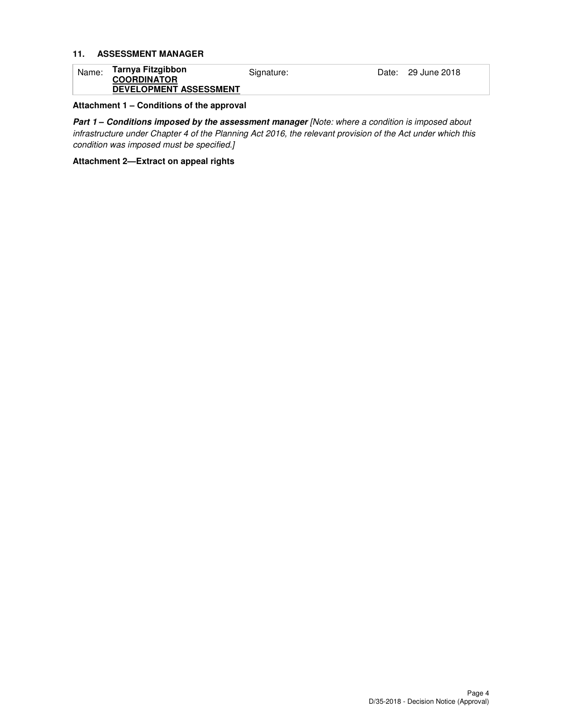#### **11. ASSESSMENT MANAGER**

| Name: | Tarnya Fitzgibbon<br><b>COORDINATOR</b> | Signature: | Date: 29 June 2018 |
|-------|-----------------------------------------|------------|--------------------|
|       | <b>DEVELOPMENT ASSESSMENT</b>           |            |                    |

#### **Attachment 1 – Conditions of the approval**

Part 1 - Conditions imposed by the assessment manager [Note: where a condition is imposed about infrastructure under Chapter 4 of the Planning Act 2016, the relevant provision of the Act under which this condition was imposed must be specified.]

#### **Attachment 2—Extract on appeal rights**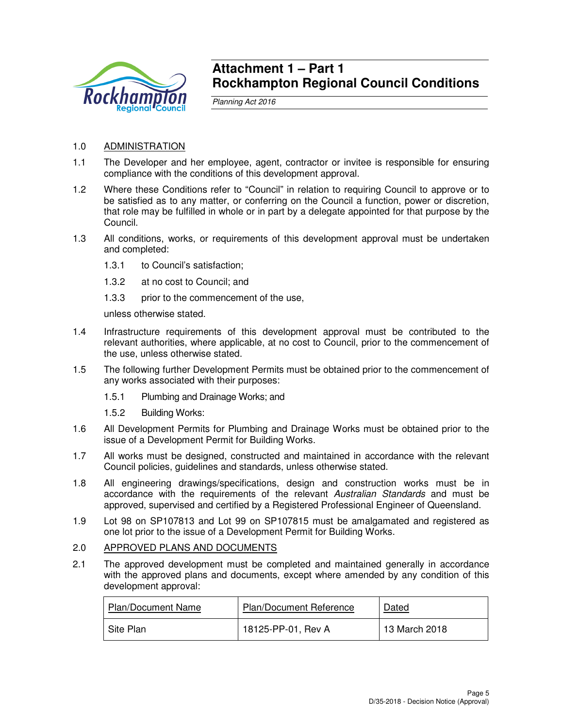

## **Attachment 1 – Part 1 Rockhampton Regional Council Conditions**

Planning Act 2016

## 1.0 ADMINISTRATION

- 1.1 The Developer and her employee, agent, contractor or invitee is responsible for ensuring compliance with the conditions of this development approval.
- 1.2 Where these Conditions refer to "Council" in relation to requiring Council to approve or to be satisfied as to any matter, or conferring on the Council a function, power or discretion, that role may be fulfilled in whole or in part by a delegate appointed for that purpose by the Council.
- 1.3 All conditions, works, or requirements of this development approval must be undertaken and completed:
	- 1.3.1 to Council's satisfaction;
	- 1.3.2 at no cost to Council; and
	- 1.3.3 prior to the commencement of the use,

unless otherwise stated.

- 1.4 Infrastructure requirements of this development approval must be contributed to the relevant authorities, where applicable, at no cost to Council, prior to the commencement of the use, unless otherwise stated.
- 1.5 The following further Development Permits must be obtained prior to the commencement of any works associated with their purposes:
	- 1.5.1 Plumbing and Drainage Works; and
	- 1.5.2 Building Works:
- 1.6 All Development Permits for Plumbing and Drainage Works must be obtained prior to the issue of a Development Permit for Building Works.
- 1.7 All works must be designed, constructed and maintained in accordance with the relevant Council policies, guidelines and standards, unless otherwise stated.
- 1.8 All engineering drawings/specifications, design and construction works must be in accordance with the requirements of the relevant Australian Standards and must be approved, supervised and certified by a Registered Professional Engineer of Queensland.
- 1.9 Lot 98 on SP107813 and Lot 99 on SP107815 must be amalgamated and registered as one lot prior to the issue of a Development Permit for Building Works.

#### 2.0 APPROVED PLANS AND DOCUMENTS

2.1 The approved development must be completed and maintained generally in accordance with the approved plans and documents, except where amended by any condition of this development approval:

| <b>Plan/Document Name</b> | <b>Plan/Document Reference</b> | Dated         |
|---------------------------|--------------------------------|---------------|
| Site Plan                 | 18125-PP-01, Rev A             | 13 March 2018 |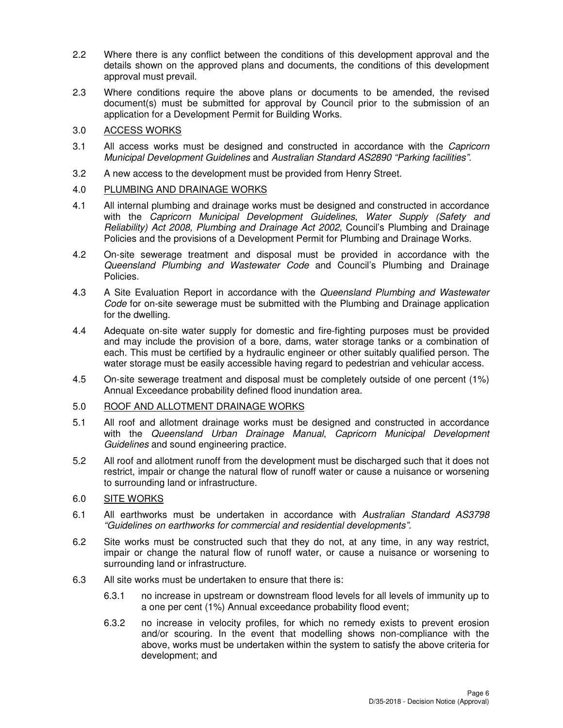- 2.2 Where there is any conflict between the conditions of this development approval and the details shown on the approved plans and documents, the conditions of this development approval must prevail.
- 2.3 Where conditions require the above plans or documents to be amended, the revised document(s) must be submitted for approval by Council prior to the submission of an application for a Development Permit for Building Works.

## 3.0 ACCESS WORKS

- 3.1 All access works must be designed and constructed in accordance with the Capricorn Municipal Development Guidelines and Australian Standard AS2890 "Parking facilities".
- 3.2 A new access to the development must be provided from Henry Street.

## 4.0 PLUMBING AND DRAINAGE WORKS

- 4.1 All internal plumbing and drainage works must be designed and constructed in accordance with the Capricorn Municipal Development Guidelines, Water Supply (Safety and Reliability) Act 2008, Plumbing and Drainage Act 2002, Council's Plumbing and Drainage Policies and the provisions of a Development Permit for Plumbing and Drainage Works.
- 4.2 On-site sewerage treatment and disposal must be provided in accordance with the Queensland Plumbing and Wastewater Code and Council's Plumbing and Drainage Policies.
- 4.3 A Site Evaluation Report in accordance with the Queensland Plumbing and Wastewater Code for on-site sewerage must be submitted with the Plumbing and Drainage application for the dwelling.
- 4.4 Adequate on-site water supply for domestic and fire-fighting purposes must be provided and may include the provision of a bore, dams, water storage tanks or a combination of each. This must be certified by a hydraulic engineer or other suitably qualified person. The water storage must be easily accessible having regard to pedestrian and vehicular access.
- 4.5 On-site sewerage treatment and disposal must be completely outside of one percent (1%) Annual Exceedance probability defined flood inundation area.

## 5.0 ROOF AND ALLOTMENT DRAINAGE WORKS

- 5.1 All roof and allotment drainage works must be designed and constructed in accordance with the Queensland Urban Drainage Manual, Capricorn Municipal Development Guidelines and sound engineering practice.
- 5.2 All roof and allotment runoff from the development must be discharged such that it does not restrict, impair or change the natural flow of runoff water or cause a nuisance or worsening to surrounding land or infrastructure.

## 6.0 SITE WORKS

- 6.1 All earthworks must be undertaken in accordance with Australian Standard AS3798 "Guidelines on earthworks for commercial and residential developments".
- 6.2 Site works must be constructed such that they do not, at any time, in any way restrict, impair or change the natural flow of runoff water, or cause a nuisance or worsening to surrounding land or infrastructure.
- 6.3 All site works must be undertaken to ensure that there is:
	- 6.3.1 no increase in upstream or downstream flood levels for all levels of immunity up to a one per cent (1%) Annual exceedance probability flood event;
	- 6.3.2 no increase in velocity profiles, for which no remedy exists to prevent erosion and/or scouring. In the event that modelling shows non-compliance with the above, works must be undertaken within the system to satisfy the above criteria for development; and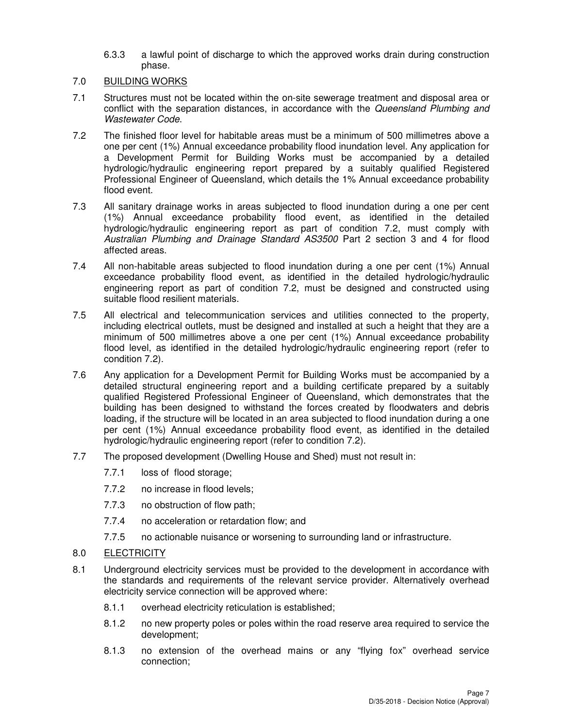- 6.3.3 a lawful point of discharge to which the approved works drain during construction phase.
- 7.0 BUILDING WORKS
- 7.1 Structures must not be located within the on-site sewerage treatment and disposal area or conflict with the separation distances, in accordance with the Queensland Plumbing and Wastewater Code.
- 7.2 The finished floor level for habitable areas must be a minimum of 500 millimetres above a one per cent (1%) Annual exceedance probability flood inundation level. Any application for a Development Permit for Building Works must be accompanied by a detailed hydrologic/hydraulic engineering report prepared by a suitably qualified Registered Professional Engineer of Queensland, which details the 1% Annual exceedance probability flood event.
- 7.3 All sanitary drainage works in areas subjected to flood inundation during a one per cent (1%) Annual exceedance probability flood event, as identified in the detailed hydrologic/hydraulic engineering report as part of condition 7.2, must comply with Australian Plumbing and Drainage Standard AS3500 Part 2 section 3 and 4 for flood affected areas.
- 7.4 All non-habitable areas subjected to flood inundation during a one per cent (1%) Annual exceedance probability flood event, as identified in the detailed hydrologic/hydraulic engineering report as part of condition 7.2, must be designed and constructed using suitable flood resilient materials.
- 7.5 All electrical and telecommunication services and utilities connected to the property, including electrical outlets, must be designed and installed at such a height that they are a minimum of 500 millimetres above a one per cent (1%) Annual exceedance probability flood level, as identified in the detailed hydrologic/hydraulic engineering report (refer to condition 7.2).
- 7.6 Any application for a Development Permit for Building Works must be accompanied by a detailed structural engineering report and a building certificate prepared by a suitably qualified Registered Professional Engineer of Queensland, which demonstrates that the building has been designed to withstand the forces created by floodwaters and debris loading, if the structure will be located in an area subjected to flood inundation during a one per cent (1%) Annual exceedance probability flood event, as identified in the detailed hydrologic/hydraulic engineering report (refer to condition 7.2).
- 7.7 The proposed development (Dwelling House and Shed) must not result in:
	- 7.7.1 loss of flood storage;
	- 7.7.2 no increase in flood levels;
	- 7.7.3 no obstruction of flow path;
	- 7.7.4 no acceleration or retardation flow; and
	- 7.7.5 no actionable nuisance or worsening to surrounding land or infrastructure.
- 8.0 ELECTRICITY
- 8.1 Underground electricity services must be provided to the development in accordance with the standards and requirements of the relevant service provider. Alternatively overhead electricity service connection will be approved where:
	- 8.1.1 overhead electricity reticulation is established;
	- 8.1.2 no new property poles or poles within the road reserve area required to service the development;
	- 8.1.3 no extension of the overhead mains or any "flying fox" overhead service connection;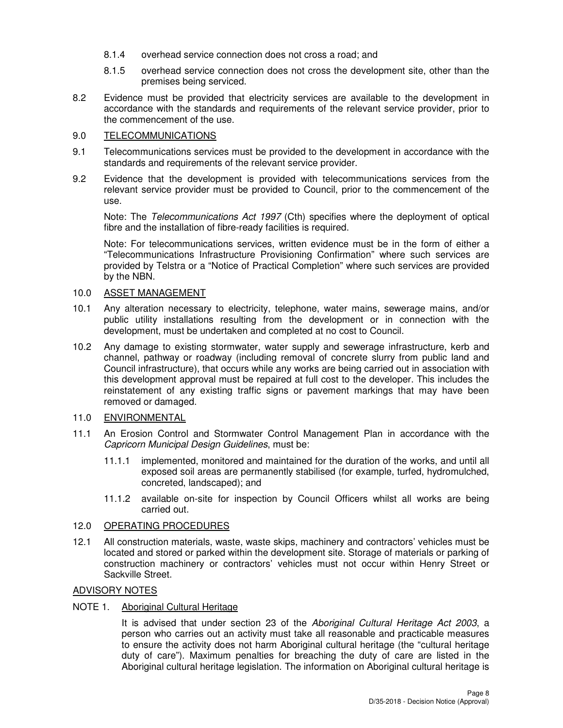- 8.1.4 overhead service connection does not cross a road; and
- 8.1.5 overhead service connection does not cross the development site, other than the premises being serviced.
- 8.2 Evidence must be provided that electricity services are available to the development in accordance with the standards and requirements of the relevant service provider, prior to the commencement of the use.

### 9.0 TELECOMMUNICATIONS

- 9.1 Telecommunications services must be provided to the development in accordance with the standards and requirements of the relevant service provider.
- 9.2 Evidence that the development is provided with telecommunications services from the relevant service provider must be provided to Council, prior to the commencement of the use.

Note: The Telecommunications Act 1997 (Cth) specifies where the deployment of optical fibre and the installation of fibre-ready facilities is required.

Note: For telecommunications services, written evidence must be in the form of either a "Telecommunications Infrastructure Provisioning Confirmation" where such services are provided by Telstra or a "Notice of Practical Completion" where such services are provided by the NBN.

### 10.0 ASSET MANAGEMENT

- 10.1 Any alteration necessary to electricity, telephone, water mains, sewerage mains, and/or public utility installations resulting from the development or in connection with the development, must be undertaken and completed at no cost to Council.
- 10.2 Any damage to existing stormwater, water supply and sewerage infrastructure, kerb and channel, pathway or roadway (including removal of concrete slurry from public land and Council infrastructure), that occurs while any works are being carried out in association with this development approval must be repaired at full cost to the developer. This includes the reinstatement of any existing traffic signs or pavement markings that may have been removed or damaged.

#### 11.0 ENVIRONMENTAL

- 11.1 An Erosion Control and Stormwater Control Management Plan in accordance with the Capricorn Municipal Design Guidelines, must be:
	- 11.1.1 implemented, monitored and maintained for the duration of the works, and until all exposed soil areas are permanently stabilised (for example, turfed, hydromulched, concreted, landscaped); and
	- 11.1.2 available on-site for inspection by Council Officers whilst all works are being carried out.

## 12.0 OPERATING PROCEDURES

12.1 All construction materials, waste, waste skips, machinery and contractors' vehicles must be located and stored or parked within the development site. Storage of materials or parking of construction machinery or contractors' vehicles must not occur within Henry Street or Sackville Street.

## ADVISORY NOTES

## NOTE 1. Aboriginal Cultural Heritage

It is advised that under section 23 of the Aboriginal Cultural Heritage Act 2003, a person who carries out an activity must take all reasonable and practicable measures to ensure the activity does not harm Aboriginal cultural heritage (the "cultural heritage duty of care"). Maximum penalties for breaching the duty of care are listed in the Aboriginal cultural heritage legislation. The information on Aboriginal cultural heritage is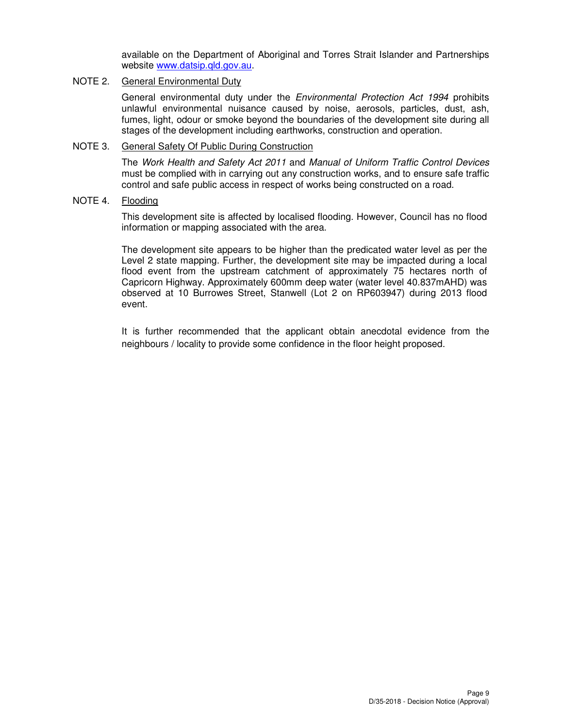available on the Department of Aboriginal and Torres Strait Islander and Partnerships website www.datsip.qld.gov.au.

## NOTE 2. General Environmental Duty

General environmental duty under the *Environmental Protection Act 1994* prohibits unlawful environmental nuisance caused by noise, aerosols, particles, dust, ash, fumes, light, odour or smoke beyond the boundaries of the development site during all stages of the development including earthworks, construction and operation.

#### NOTE 3. General Safety Of Public During Construction

The Work Health and Safety Act 2011 and Manual of Uniform Traffic Control Devices must be complied with in carrying out any construction works, and to ensure safe traffic control and safe public access in respect of works being constructed on a road.

#### NOTE 4. Flooding

This development site is affected by localised flooding. However, Council has no flood information or mapping associated with the area.

The development site appears to be higher than the predicated water level as per the Level 2 state mapping. Further, the development site may be impacted during a local flood event from the upstream catchment of approximately 75 hectares north of Capricorn Highway. Approximately 600mm deep water (water level 40.837mAHD) was observed at 10 Burrowes Street, Stanwell (Lot 2 on RP603947) during 2013 flood event.

It is further recommended that the applicant obtain anecdotal evidence from the neighbours / locality to provide some confidence in the floor height proposed.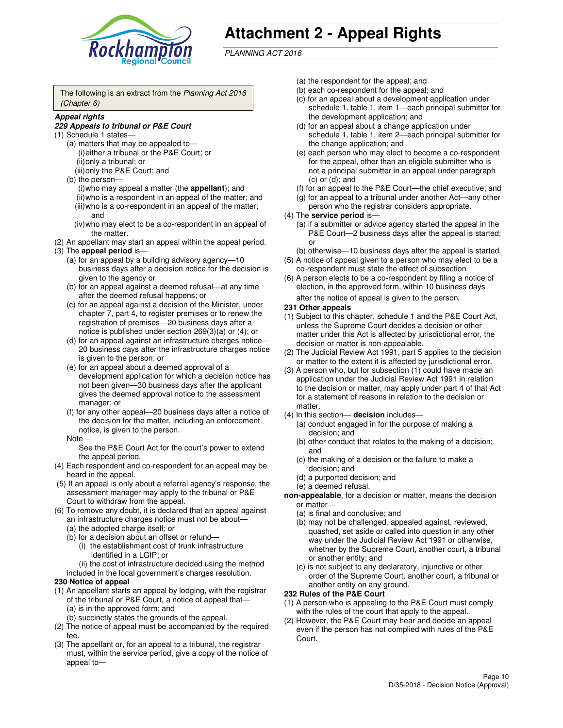

# **Attachment 2 - Appeal Rights**

PLANNING ACT 2016

The following is an extract from the Planning Act 2016 (Chapter 6)

#### **Appeal rights**

#### **229 Appeals to tribunal or P&E Court**

- (1) Schedule 1 states—
	- (a) matters that may be appealed to— (i) either a tribunal or the P&E Court; or (ii) only a tribunal; or (iii) only the P&E Court; and
	- (b) the person—
		- (i) who may appeal a matter (the **appellant**); and
		- (ii) who is a respondent in an appeal of the matter; and (iii) who is a co-respondent in an appeal of the matter;
		- and (iv) who may elect to be a co-respondent in an appeal of the matter.
- (2) An appellant may start an appeal within the appeal period.
- (3) The **appeal period** is—
	- (a) for an appeal by a building advisory agency—10 business days after a decision notice for the decision is given to the agency or
	- (b) for an appeal against a deemed refusal—at any time after the deemed refusal happens; or
	- (c) for an appeal against a decision of the Minister, under chapter 7, part 4, to register premises or to renew the registration of premises—20 business days after a notice is published under section 269(3)(a) or (4); or
	- (d) for an appeal against an infrastructure charges notice— 20 business days after the infrastructure charges notice is given to the person; or
	- (e) for an appeal about a deemed approval of a development application for which a decision notice has not been given—30 business days after the applicant gives the deemed approval notice to the assessment manager; or
	- (f) for any other appeal—20 business days after a notice of the decision for the matter, including an enforcement notice, is given to the person.
	- Note—

See the P&E Court Act for the court's power to extend the appeal period.

- (4) Each respondent and co-respondent for an appeal may be heard in the appeal.
- (5) If an appeal is only about a referral agency's response, the assessment manager may apply to the tribunal or P&E Court to withdraw from the appeal.
- (6) To remove any doubt, it is declared that an appeal against an infrastructure charges notice must not be about—
	- (a) the adopted charge itself; or
	- (b) for a decision about an offset or refund—
		- (i) the establishment cost of trunk infrastructure identified in a LGIP; or
		- (ii) the cost of infrastructure decided using the method
- included in the local government's charges resolution. **230 Notice of appeal**
- (1) An appellant starts an appeal by lodging, with the registrar of the tribunal or P&E Court, a notice of appeal that—
	- (a) is in the approved form; and
	- (b) succinctly states the grounds of the appeal.
- (2) The notice of appeal must be accompanied by the required fee.
- (3) The appellant or, for an appeal to a tribunal, the registrar must, within the service period, give a copy of the notice of appeal to—
- (a) the respondent for the appeal; and
- (b) each co-respondent for the appeal; and
- (c) for an appeal about a development application under schedule 1, table 1, item 1—each principal submitter for the development application; and
- (d) for an appeal about a change application under schedule 1, table 1, item 2—each principal submitter for the change application; and
- (e) each person who may elect to become a co-respondent for the appeal, other than an eligible submitter who is not a principal submitter in an appeal under paragraph  $(c)$  or  $(d)$ ; and
- (f) for an appeal to the P&E Court—the chief executive; and
- (g) for an appeal to a tribunal under another Act—any other person who the registrar considers appropriate.
- (4) The **service period** is—
	- (a) if a submitter or advice agency started the appeal in the P&E Court—2 business days after the appeal is started; or
	- (b) otherwise—10 business days after the appeal is started.
- (5) A notice of appeal given to a person who may elect to be a co-respondent must state the effect of subsection
- (6) A person elects to be a co-respondent by filing a notice of election, in the approved form, within 10 business days after the notice of appeal is given to the person*.*
- **231 Other appeals**
- (1) Subject to this chapter, schedule 1 and the P&E Court Act, unless the Supreme Court decides a decision or other matter under this Act is affected by jurisdictional error, the decision or matter is non-appealable.
- (2) The Judicial Review Act 1991, part 5 applies to the decision or matter to the extent it is affected by jurisdictional error.
- (3) A person who, but for subsection (1) could have made an application under the Judicial Review Act 1991 in relation to the decision or matter, may apply under part 4 of that Act for a statement of reasons in relation to the decision or matter.
- (4) In this section— **decision** includes—
	- (a) conduct engaged in for the purpose of making a decision; and
	- (b) other conduct that relates to the making of a decision; and
	- (c) the making of a decision or the failure to make a decision; and
	- (d) a purported decision; and
	- (e) a deemed refusal.

**non-appealable**, for a decision or matter, means the decision or matter—

- (a) is final and conclusive; and
- (b) may not be challenged, appealed against, reviewed, quashed, set aside or called into question in any other way under the Judicial Review Act 1991 or otherwise, whether by the Supreme Court, another court, a tribunal or another entity; and
- (c) is not subject to any declaratory, injunctive or other order of the Supreme Court, another court, a tribunal or another entity on any ground.

#### **232 Rules of the P&E Court**

- (1) A person who is appealing to the P&E Court must comply with the rules of the court that apply to the appeal.
- (2) However, the P&E Court may hear and decide an appeal even if the person has not complied with rules of the P&E Court.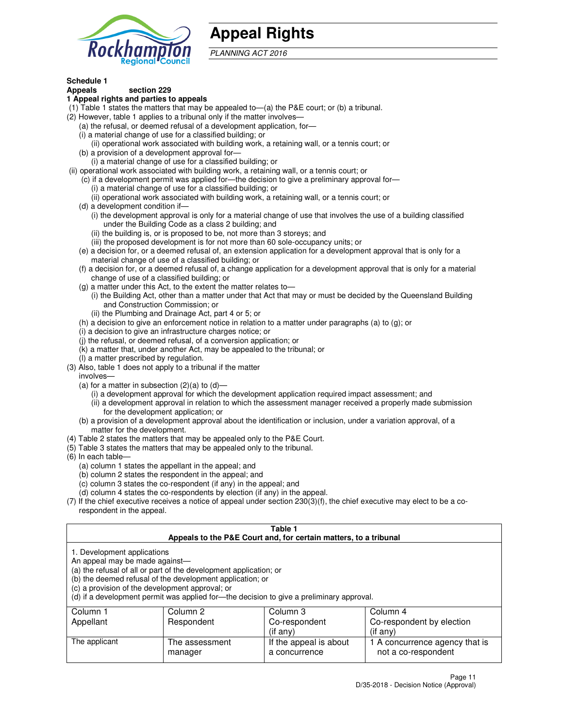

# **Appeal Rights**

PLANNING ACT 2016

## **Schedule 1**

## **Appeals section 229**

#### **1 Appeal rights and parties to appeals**

- (1) Table 1 states the matters that may be appealed to—(a) the P&E court; or (b) a tribunal.
- (2) However, table 1 applies to a tribunal only if the matter involves—
	- (a) the refusal, or deemed refusal of a development application, for—
	- (i) a material change of use for a classified building; or
	- (ii) operational work associated with building work, a retaining wall, or a tennis court; or
	- (b) a provision of a development approval for—
	- (i) a material change of use for a classified building; or
- (ii) operational work associated with building work, a retaining wall, or a tennis court; or
	- (c) if a development permit was applied for—the decision to give a preliminary approval for—
		- (i) a material change of use for a classified building; or
		- (ii) operational work associated with building work, a retaining wall, or a tennis court; or
	- (d) a development condition if—
		- (i) the development approval is only for a material change of use that involves the use of a building classified under the Building Code as a class 2 building; and
		- (ii) the building is, or is proposed to be, not more than 3 storeys; and
		- (iii) the proposed development is for not more than 60 sole-occupancy units; or
	- (e) a decision for, or a deemed refusal of, an extension application for a development approval that is only for a material change of use of a classified building; or
	- (f) a decision for, or a deemed refusal of, a change application for a development approval that is only for a material change of use of a classified building; or
	- (g) a matter under this Act, to the extent the matter relates to—
		- (i) the Building Act, other than a matter under that Act that may or must be decided by the Queensland Building and Construction Commission; or
		- (ii) the Plumbing and Drainage Act, part 4 or 5; or
	- (h) a decision to give an enforcement notice in relation to a matter under paragraphs (a) to (g); or
	- (i) a decision to give an infrastructure charges notice; or
	- (j) the refusal, or deemed refusal, of a conversion application; or
	- (k) a matter that, under another Act, may be appealed to the tribunal; or
	- (l) a matter prescribed by regulation.
- (3) Also, table 1 does not apply to a tribunal if the matter
	- involves—
	- (a) for a matter in subsection  $(2)(a)$  to  $(d)$ 
		- (i) a development approval for which the development application required impact assessment; and
		- (ii) a development approval in relation to which the assessment manager received a properly made submission for the development application; or
	- (b) a provision of a development approval about the identification or inclusion, under a variation approval, of a matter for the development.
- (4) Table 2 states the matters that may be appealed only to the P&E Court.
- (5) Table 3 states the matters that may be appealed only to the tribunal.
- (6) In each table—
	- (a) column 1 states the appellant in the appeal; and
	- (b) column 2 states the respondent in the appeal; and
	- (c) column 3 states the co-respondent (if any) in the appeal; and
	- (d) column 4 states the co-respondents by election (if any) in the appeal.
- $(7)$  If the chief executive receives a notice of appeal under section  $230(3)(f)$ , the chief executive may elect to be a corespondent in the appeal.

| Table 1<br>Appeals to the P&E Court and, for certain matters, to a tribunal                                      |                                                                                                                                |                                                                                          |                                                       |  |
|------------------------------------------------------------------------------------------------------------------|--------------------------------------------------------------------------------------------------------------------------------|------------------------------------------------------------------------------------------|-------------------------------------------------------|--|
| 1. Development applications<br>An appeal may be made against-<br>(c) a provision of the development approval; or | (a) the refusal of all or part of the development application; or<br>(b) the deemed refusal of the development application; or | (d) if a development permit was applied for—the decision to give a preliminary approval. |                                                       |  |
| Column 1                                                                                                         | Column 2                                                                                                                       | Column 3                                                                                 | Column 4                                              |  |
| Co-respondent by election<br>Respondent<br>Co-respondent<br>Appellant                                            |                                                                                                                                |                                                                                          |                                                       |  |
| (if any)<br>$($ if any $)$                                                                                       |                                                                                                                                |                                                                                          |                                                       |  |
| The applicant                                                                                                    | The assessment<br>manager                                                                                                      | If the appeal is about<br>a concurrence                                                  | 1 A concurrence agency that is<br>not a co-respondent |  |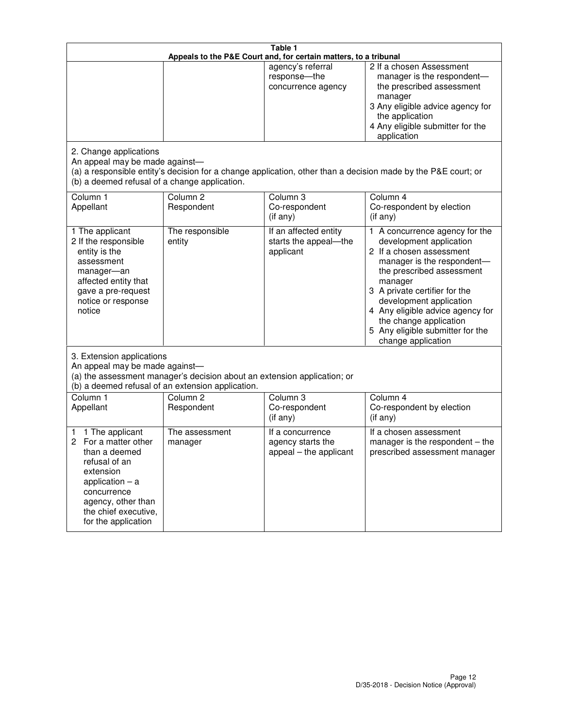| Table 1<br>Appeals to the P&E Court and, for certain matters, to a tribunal                                                                                                                             |                                   |                                                                 |                                                                                                                                                                                                                                                                                                                                                 |  |
|---------------------------------------------------------------------------------------------------------------------------------------------------------------------------------------------------------|-----------------------------------|-----------------------------------------------------------------|-------------------------------------------------------------------------------------------------------------------------------------------------------------------------------------------------------------------------------------------------------------------------------------------------------------------------------------------------|--|
|                                                                                                                                                                                                         |                                   | agency's referral<br>response-the<br>concurrence agency         | 2 If a chosen Assessment<br>manager is the respondent-<br>the prescribed assessment<br>manager<br>3 Any eligible advice agency for<br>the application<br>4 Any eligible submitter for the<br>application                                                                                                                                        |  |
| 2. Change applications<br>An appeal may be made against-<br>(b) a deemed refusal of a change application.                                                                                               |                                   |                                                                 | (a) a responsible entity's decision for a change application, other than a decision made by the P&E court; or                                                                                                                                                                                                                                   |  |
| Column 1<br>Appellant                                                                                                                                                                                   | Column <sub>2</sub><br>Respondent | Column <sub>3</sub><br>Co-respondent<br>(if any)                | Column 4<br>Co-respondent by election<br>(if any)                                                                                                                                                                                                                                                                                               |  |
| 1 The applicant<br>2 If the responsible<br>entity is the<br>assessment<br>manager-an<br>affected entity that<br>gave a pre-request<br>notice or response<br>notice                                      | The responsible<br>entity         | If an affected entity<br>starts the appeal-the<br>applicant     | 1 A concurrence agency for the<br>development application<br>2 If a chosen assessment<br>manager is the respondent-<br>the prescribed assessment<br>manager<br>3 A private certifier for the<br>development application<br>4 Any eligible advice agency for<br>the change application<br>5 Any eligible submitter for the<br>change application |  |
| 3. Extension applications<br>An appeal may be made against-<br>(a) the assessment manager's decision about an extension application; or<br>(b) a deemed refusal of an extension application.            |                                   |                                                                 |                                                                                                                                                                                                                                                                                                                                                 |  |
| Column 1<br>Appellant                                                                                                                                                                                   | Column <sub>2</sub><br>Respondent | Column 3<br>Co-respondent<br>(if any)                           | Column 4<br>Co-respondent by election<br>(if any)                                                                                                                                                                                                                                                                                               |  |
| 1 The applicant<br>1<br>For a matter other<br>2<br>than a deemed<br>refusal of an<br>extension<br>application $-$ a<br>concurrence<br>agency, other than<br>the chief executive,<br>for the application | The assessment<br>manager         | If a concurrence<br>agency starts the<br>appeal - the applicant | If a chosen assessment<br>manager is the respondent – the<br>prescribed assessment manager                                                                                                                                                                                                                                                      |  |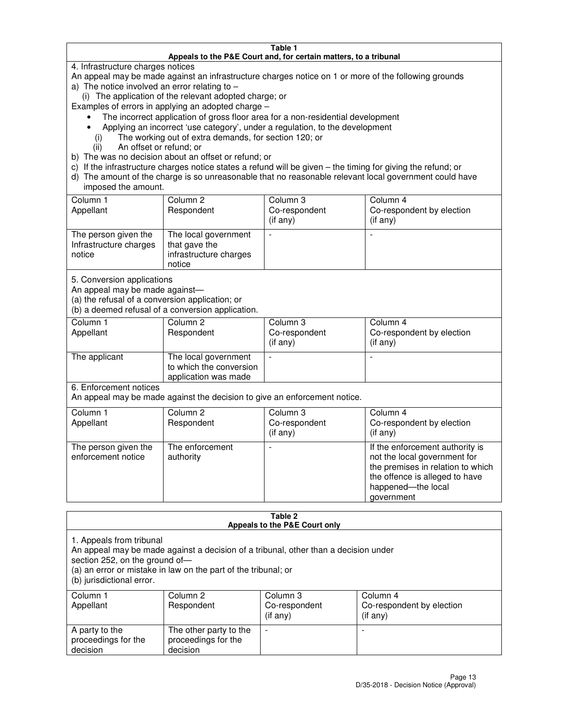#### **Table 1 Appeals to the P&E Court and, for certain matters, to a tribunal**

4. Infrastructure charges notices

An appeal may be made against an infrastructure charges notice on 1 or more of the following grounds

- a) The notice involved an error relating to
	- (i) The application of the relevant adopted charge; or

Examples of errors in applying an adopted charge –

- The incorrect application of gross floor area for a non-residential development
- Applying an incorrect 'use category', under a regulation, to the development
	- (i) The working out of extra demands, for section 120; or
	- (ii) An offset or refund; or
- b) The was no decision about an offset or refund; or
- c) If the infrastructure charges notice states a refund will be given the timing for giving the refund; or
- d) The amount of the charge is so unreasonable that no reasonable relevant local government could have imposed the amount.

| Column 1<br>Appellant                                    | Column 2<br>Respondent                                                    | Column 3<br>Co-respondent<br>$($ if any $)$ | Column 4<br>Co-respondent by election<br>$($ if any $)$ |
|----------------------------------------------------------|---------------------------------------------------------------------------|---------------------------------------------|---------------------------------------------------------|
| The person given the<br>Infrastructure charges<br>notice | The local government<br>that gave the<br>infrastructure charges<br>notice |                                             |                                                         |

5. Conversion applications

An appeal may be made against—

(a) the refusal of a conversion application; or

(b) a deemed refusal of a conversion application.

| Column 1<br>Appellant | Column 2<br>Respondent                                                  | Column 3<br>Co-respondent<br>$($ if any $)$ | Column 4<br>Co-respondent by election<br>$($ if any $)$ |
|-----------------------|-------------------------------------------------------------------------|---------------------------------------------|---------------------------------------------------------|
| The applicant         | The local government<br>to which the conversion<br>application was made |                                             |                                                         |

6. Enforcement notices

An appeal may be made against the decision to give an enforcement notice.

| Column 1<br>Appellant                      | Column 2<br>Respondent       | Column 3<br>Co-respondent<br>$($ if any $)$ | Column 4<br>Co-respondent by election<br>(if any)                                                                                                                          |
|--------------------------------------------|------------------------------|---------------------------------------------|----------------------------------------------------------------------------------------------------------------------------------------------------------------------------|
| The person given the<br>enforcement notice | The enforcement<br>authority |                                             | If the enforcement authority is<br>not the local government for<br>the premises in relation to which<br>the offence is alleged to have<br>happened-the local<br>government |

#### **Table 2 Appeals to the P&E Court only**

1. Appeals from tribunal

An appeal may be made against a decision of a tribunal, other than a decision under

section 252, on the ground of—

(a) an error or mistake in law on the part of the tribunal; or

(b) jurisdictional error.

| Column 1<br>Appellant                             | Column 2<br>Respondent                                    | Column 3<br>Co-respondent<br>(if any) | Column 4<br>Co-respondent by election<br>(if any) |
|---------------------------------------------------|-----------------------------------------------------------|---------------------------------------|---------------------------------------------------|
| A party to the<br>proceedings for the<br>decision | The other party to the<br>proceedings for the<br>decision | $\overline{\phantom{a}}$              |                                                   |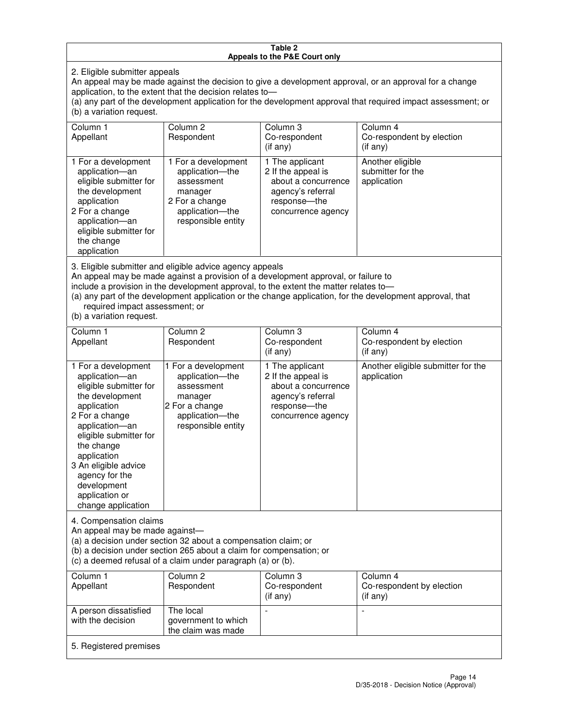#### **Table 2 Appeals to the P&E Court only**

2. Eligible submitter appeals

An appeal may be made against the decision to give a development approval, or an approval for a change application, to the extent that the decision relates to—

(a) any part of the development application for the development approval that required impact assessment; or (b) a variation request.

| Column 1<br>Appellant                                                                                                                                                                                                                                                                                                                                                                                              | Column <sub>2</sub><br>Respondent                                                                                          | Column <sub>3</sub><br>Co-respondent<br>$(i$ f any)                                                                     | Column 4<br>Co-respondent by election<br>(i f an <i>v</i> ) |
|--------------------------------------------------------------------------------------------------------------------------------------------------------------------------------------------------------------------------------------------------------------------------------------------------------------------------------------------------------------------------------------------------------------------|----------------------------------------------------------------------------------------------------------------------------|-------------------------------------------------------------------------------------------------------------------------|-------------------------------------------------------------|
| 1 For a development<br>application-an<br>eligible submitter for<br>the development<br>application<br>2 For a change<br>application-an<br>eligible submitter for<br>the change<br>application                                                                                                                                                                                                                       | 1 For a development<br>application-the<br>assessment<br>manager<br>2 For a change<br>application-the<br>responsible entity | 1 The applicant<br>2 If the appeal is<br>about a concurrence<br>agency's referral<br>response-the<br>concurrence agency | Another eligible<br>submitter for the<br>application        |
| 3. Eligible submitter and eligible advice agency appeals<br>An appeal may be made against a provision of a development approval, or failure to<br>include a provision in the development approval, to the extent the matter relates to-<br>(a) any part of the development application or the change application, for the development approval, that<br>required impact assessment; or<br>(b) a variation request. |                                                                                                                            |                                                                                                                         |                                                             |
| Column 1<br>Appellant                                                                                                                                                                                                                                                                                                                                                                                              | Column <sub>2</sub><br>Respondent                                                                                          | Column 3<br>Co-respondent<br>(if any)                                                                                   | Column 4<br>Co-respondent by election<br>$(if$ any)         |
| 1 For a development<br>application-an<br>eligible submitter for<br>the development<br>application                                                                                                                                                                                                                                                                                                                  | 1 For a development<br>application-the<br>assessment<br>manager<br>2 For a change                                          | 1 The applicant<br>2 If the appeal is<br>about a concurrence<br>agency's referral<br>response---the                     | Another eligible submitter for the<br>application           |

concurrence agency

change application 4. Compensation claims

2 For a change application—an eligible submitter for

the change application 3 An eligible advice agency for the development application or

An appeal may be made against—

(a) a decision under section 32 about a compensation claim; or

(b) a decision under section 265 about a claim for compensation; or

application—the responsible entity

(c) a deemed refusal of a claim under paragraph (a) or (b).

| Column 1<br>Appellant                      | Column 2<br>Respondent                                 | Column 3<br>Co-respondent<br>(if any) | Column 4<br>Co-respondent by election<br>(if any) |
|--------------------------------------------|--------------------------------------------------------|---------------------------------------|---------------------------------------------------|
| A person dissatisfied<br>with the decision | The local<br>government to which<br>the claim was made |                                       |                                                   |
| 5. Registered premises                     |                                                        |                                       |                                                   |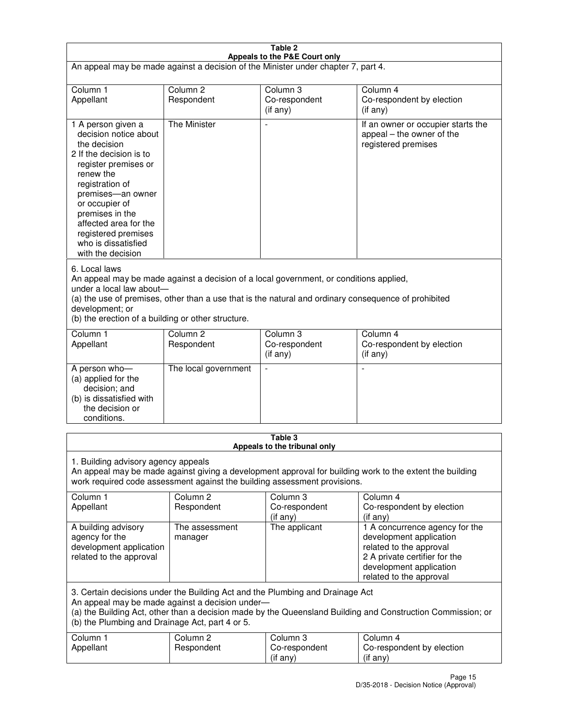| Table 2                                                                                                                                                                                                                                                                                                              |                                   |                                       |                                                                                                                                                                             |  |
|----------------------------------------------------------------------------------------------------------------------------------------------------------------------------------------------------------------------------------------------------------------------------------------------------------------------|-----------------------------------|---------------------------------------|-----------------------------------------------------------------------------------------------------------------------------------------------------------------------------|--|
| Appeals to the P&E Court only<br>An appeal may be made against a decision of the Minister under chapter 7, part 4.                                                                                                                                                                                                   |                                   |                                       |                                                                                                                                                                             |  |
| Column 1                                                                                                                                                                                                                                                                                                             | Column <sub>2</sub>               | Column <sub>3</sub>                   | Column 4                                                                                                                                                                    |  |
| Appellant                                                                                                                                                                                                                                                                                                            | Respondent                        | Co-respondent<br>(if any)             | Co-respondent by election<br>(if any)                                                                                                                                       |  |
| 1 A person given a<br>decision notice about<br>the decision<br>2 If the decision is to<br>register premises or<br>renew the<br>registration of<br>premises-an owner<br>or occupier of<br>premises in the<br>affected area for the<br>registered premises<br>who is dissatisfied<br>with the decision                 | <b>The Minister</b>               | ÷,                                    | If an owner or occupier starts the<br>appeal – the owner of the<br>registered premises                                                                                      |  |
| 6. Local laws<br>An appeal may be made against a decision of a local government, or conditions applied,<br>under a local law about-<br>(a) the use of premises, other than a use that is the natural and ordinary consequence of prohibited<br>development; or<br>(b) the erection of a building or other structure. |                                   |                                       |                                                                                                                                                                             |  |
| Column 1<br>Appellant                                                                                                                                                                                                                                                                                                | Column 2<br>Respondent            | Column 3<br>Co-respondent<br>(if any) | Column 4<br>Co-respondent by election<br>(if any)                                                                                                                           |  |
| A person who-<br>(a) applied for the<br>decision; and<br>(b) is dissatisfied with<br>the decision or<br>conditions.                                                                                                                                                                                                  | The local government              |                                       |                                                                                                                                                                             |  |
| Table 3<br>Appeals to the tribunal only                                                                                                                                                                                                                                                                              |                                   |                                       |                                                                                                                                                                             |  |
| 1. Building advisory agency appeals<br>An appeal may be made against giving a development approval for building work to the extent the building<br>work required code assessment against the building assessment provisions.                                                                                         |                                   |                                       |                                                                                                                                                                             |  |
| Column 1<br>Appellant                                                                                                                                                                                                                                                                                                | Column <sub>2</sub><br>Respondent | Column 3<br>Co-respondent<br>(if any) | Column 4<br>Co-respondent by election<br>(if any)                                                                                                                           |  |
| A building advisory<br>agency for the<br>development application<br>related to the approval                                                                                                                                                                                                                          | The assessment<br>manager         | The applicant                         | 1 A concurrence agency for the<br>development application<br>related to the approval<br>2 A private certifier for the<br>development application<br>related to the approval |  |
| 3. Certain decisions under the Building Act and the Plumbing and Drainage Act<br>An appeal may be made against a decision under-<br>(a) the Building Act, other than a decision made by the Queensland Building and Construction Commission; or<br>(b) the Plumbing and Drainage Act, part 4 or 5.                   |                                   |                                       |                                                                                                                                                                             |  |
| Column 1<br>Appellant                                                                                                                                                                                                                                                                                                | Column <sub>2</sub><br>Respondent | Column 3<br>Co-respondent<br>(if any) | Column 4<br>Co-respondent by election<br>(if any)                                                                                                                           |  |